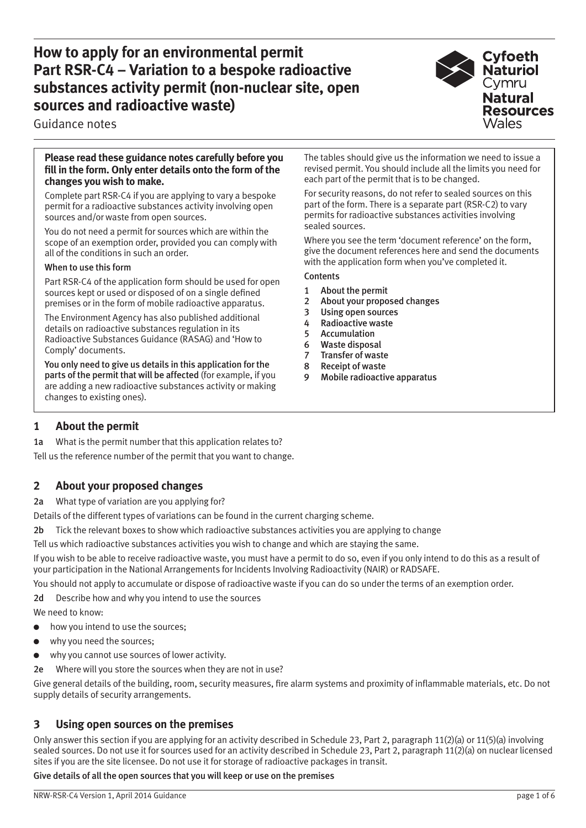**How to apply for an environmental permit Part RSR-C4 – Variation to a bespoke radioactive substances activity permit (non-nuclear site, open sources and radioactive waste)**



Guidance notes

#### **Please read these guidance notes carefully before you fill in the form. Only enter details onto the form of the changes you wish to make.**

Complete part RSR-C4 if you are applying to vary a bespoke permit for a radioactive substances activity involving open sources and/or waste from open sources.

You do not need a permit for sources which are within the scope of an exemption order, provided you can comply with all of the conditions in such an order.

#### When to use this form

Part RSR-C4 of the application form should be used for open sources kept or used or disposed of on a single defined premises or in the form of mobile radioactive apparatus.

The Environment Agency has also published additional details on radioactive substances regulation in its Radioactive Substances Guidance (RASAG) and 'How to Comply' documents.

You only need to give us details in this application for the parts of the permit that will be affected (for example, if you are adding a new radioactive substances activity or making changes to existing ones).

The tables should give us the information we need to issue a revised permit. You should include all the limits you need for each part of the permit that is to be changed.

For security reasons, do not refer to sealed sources on this part of the form. There is a separate part (RSR-C2) to vary permits for radioactive substances activities involving sealed sources.

Where you see the term 'document reference' on the form, give the document references here and send the documents with the application form when you've completed it.

**Contents** 

- 1 About the permit
- 2 About your proposed changes
- 3 Using open sources
- 4 Radioactive waste
- 5 Accumulation
- 6 Waste disposal
- 7 Transfer of waste
- 8 Receipt of waste
- 9 Mobile radioactive apparatus

# **1 About the permit**

1a What is the permit number that this application relates to?

Tell us the reference number of the permit that you want to change.

## **2 About your proposed changes**

2a What type of variation are you applying for?

Details of the different types of variations can be found in the current charging scheme.

2b Tick the relevant boxes to show which radioactive substances activities you are applying to change

Tell us which radioactive substances activities you wish to change and which are staying the same.

If you wish to be able to receive radioactive waste, you must have a permit to do so, even if you only intend to do this as a result of your participation in the National Arrangements for Incidents Involving Radioactivity (NAIR) or RADSAFE.

You should not apply to accumulate or dispose of radioactive waste if you can do so under the terms of an exemption order.

2d Describe how and why you intend to use the sources We need to know:

- how you intend to use the sources;
- why you need the sources;
- why you cannot use sources of lower activity.

2e Where will you store the sources when they are not in use?

Give general details of the building, room, security measures, fire alarm systems and proximity of inflammable materials, etc. Do not supply details of security arrangements.

## **3 Using open sources on the premises**

Only answer this section if you are applying for an activity described in Schedule 23, Part 2, paragraph 11(2)(a) or 11(5)(a) involving sealed sources. Do not use it for sources used for an activity described in Schedule 23, Part 2, paragraph 11(2)(a) on nuclear licensed sites if you are the site licensee. Do not use it for storage of radioactive packages in transit.

#### Give details of all the open sources that you will keep or use on the premises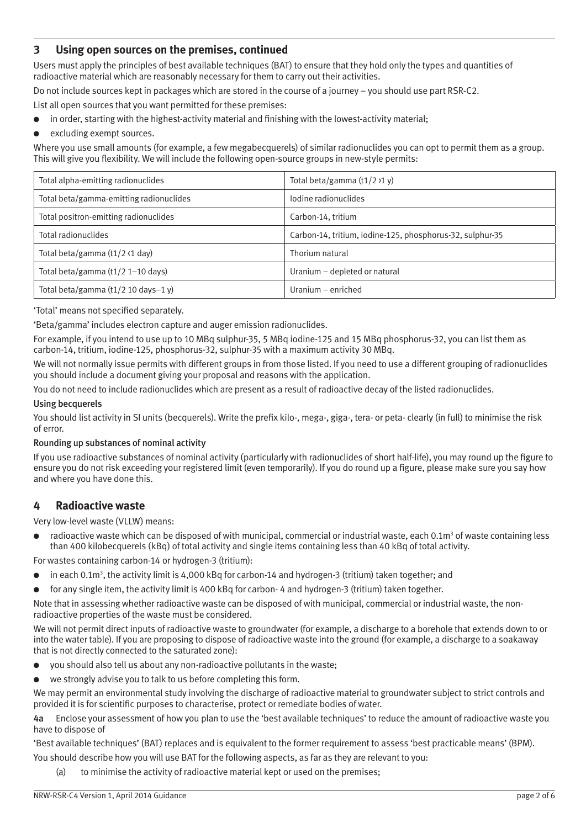# **3 Using open sources on the premises, continued**

Users must apply the principles of best available techniques (BAT) to ensure that they hold only the types and quantities of radioactive material which are reasonably necessary for them to carry out their activities.

Do not include sources kept in packages which are stored in the course of a journey – you should use part RSR-C2.

List all open sources that you want permitted for these premises:

- in order, starting with the highest-activity material and finishing with the lowest-activity material;
- excluding exempt sources.

Where you use small amounts (for example, a few megabecquerels) of similar radionuclides you can opt to permit them as a group. This will give you flexibility. We will include the following open-source groups in new-style permits:

| Total alpha-emitting radionuclides      | Total beta/gamma $(t1/2)1 y$                              |
|-----------------------------------------|-----------------------------------------------------------|
| Total beta/gamma-emitting radionuclides | lodine radionuclides                                      |
| Total positron-emitting radionuclides   | Carbon-14, tritium                                        |
| Total radionuclides                     | Carbon-14, tritium, iodine-125, phosphorus-32, sulphur-35 |
| Total beta/gamma $(t1/2 \cdot 1$ day)   | Thorium natural                                           |
| Total beta/gamma $(t1/2 1-10$ days)     | Uranium - depleted or natural                             |
| Total beta/gamma $(t1/2 10$ days-1 y)   | Uranium – enriched                                        |

'Total' means not specified separately.

'Beta/gamma' includes electron capture and auger emission radionuclides.

For example, if you intend to use up to 10 MBq sulphur-35, 5 MBq iodine-125 and 15 MBq phosphorus-32, you can list them as carbon-14, tritium, iodine-125, phosphorus-32, sulphur-35 with a maximum activity 30 MBq.

We will not normally issue permits with different groups in from those listed. If you need to use a different grouping of radionuclides you should include a document giving your proposal and reasons with the application.

You do not need to include radionuclides which are present as a result of radioactive decay of the listed radionuclides.

#### Using becquerels

You should list activity in SI units (becquerels). Write the prefix kilo-, mega-, giga-, tera- or peta- clearly (in full) to minimise the risk of error.

#### Rounding up substances of nominal activity

If you use radioactive substances of nominal activity (particularly with radionuclides of short half-life), you may round up the figure to ensure you do not risk exceeding your registered limit (even temporarily). If you do round up a figure, please make sure you say how and where you have done this.

### **4 Radioactive waste**

Very low-level waste (VLLW) means:

 $\bullet$  radioactive waste which can be disposed of with municipal, commercial or industrial waste, each 0.1m<sup>3</sup> of waste containing less than 400 kilobecquerels (kBq) of total activity and single items containing less than 40 kBq of total activity.

For wastes containing carbon-14 or hydrogen-3 (tritium):

- $\bullet$  in each 0.1m<sup>3</sup>, the activity limit is 4,000 kBq for carbon-14 and hydrogen-3 (tritium) taken together; and
- for any single item, the activity limit is 400 kBq for carbon-4 and hydrogen-3 (tritium) taken together.

Note that in assessing whether radioactive waste can be disposed of with municipal, commercial or industrial waste, the nonradioactive properties of the waste must be considered.

We will not permit direct inputs of radioactive waste to groundwater (for example, a discharge to a borehole that extends down to or into the water table). If you are proposing to dispose of radioactive waste into the ground (for example, a discharge to a soakaway that is not directly connected to the saturated zone):

- you should also tell us about any non-radioactive pollutants in the waste;
- we strongly advise you to talk to us before completing this form.

We may permit an environmental study involving the discharge of radioactive material to groundwater subject to strict controls and provided it is for scientific purposes to characterise, protect or remediate bodies of water.

4a Enclose your assessment of how you plan to use the 'best available techniques' to reduce the amount of radioactive waste you have to dispose of

'Best available techniques' (BAT) replaces and is equivalent to the former requirement to assess 'best practicable means' (BPM).

You should describe how you will use BAT for the following aspects, as far as they are relevant to you:

(a) to minimise the activity of radioactive material kept or used on the premises;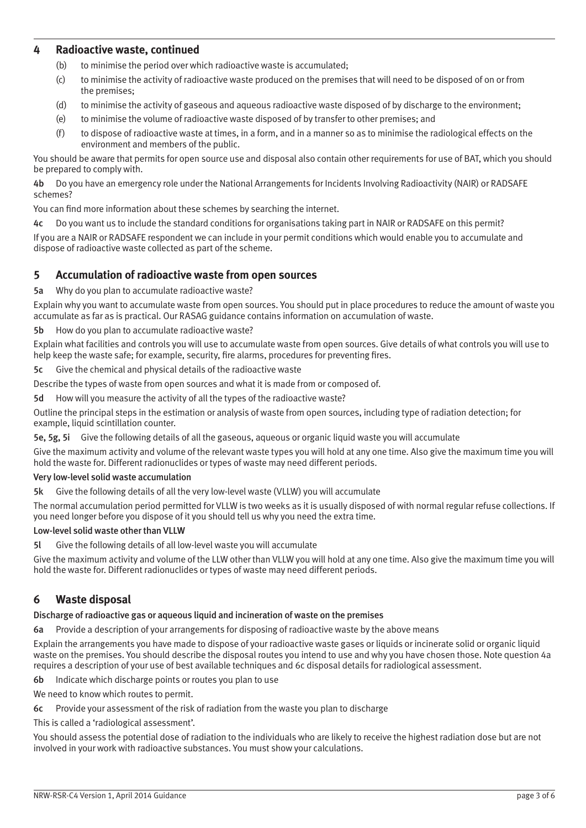### **4 Radioactive waste, continued**

- (b) to minimise the period over which radioactive waste is accumulated;
- (c) to minimise the activity of radioactive waste produced on the premises that will need to be disposed of on or from the premises;
- (d) to minimise the activity of gaseous and aqueous radioactive waste disposed of by discharge to the environment;
- (e) to minimise the volume of radioactive waste disposed of by transfer to other premises; and
- (f) to dispose of radioactive waste at times, in a form, and in a manner so as to minimise the radiological effects on the environment and members of the public.

You should be aware that permits for open source use and disposal also contain other requirements for use of BAT, which you should be prepared to comply with.

4b Do you have an emergency role under the National Arrangements for Incidents Involving Radioactivity (NAIR) or RADSAFE schemes?

You can find more information about these schemes by searching the internet.

4c Do you want us to include the standard conditions for organisations taking part in NAIR or RADSAFE on this permit?

If you are a NAIR or RADSAFE respondent we can include in your permit conditions which would enable you to accumulate and dispose of radioactive waste collected as part of the scheme.

### **5 Accumulation of radioactive waste from open sources**

5a Why do you plan to accumulate radioactive waste?

Explain why you want to accumulate waste from open sources. You should put in place procedures to reduce the amount of waste you accumulate as far as is practical. Our RASAG guidance contains information on accumulation of waste.

#### 5b How do you plan to accumulate radioactive waste?

Explain what facilities and controls you will use to accumulate waste from open sources. Give details of what controls you will use to help keep the waste safe; for example, security, fire alarms, procedures for preventing fires.

5c Give the chemical and physical details of the radioactive waste

Describe the types of waste from open sources and what it is made from or composed of.

5d How will you measure the activity of all the types of the radioactive waste?

Outline the principal steps in the estimation or analysis of waste from open sources, including type of radiation detection; for example, liquid scintillation counter.

5e, 5g, 5i Give the following details of all the gaseous, aqueous or organic liquid waste you will accumulate

Give the maximum activity and volume of the relevant waste types you will hold at any one time. Also give the maximum time you will hold the waste for. Different radionuclides or types of waste may need different periods.

#### Very low-level solid waste accumulation

5k Give the following details of all the very low-level waste (VLLW) you will accumulate

The normal accumulation period permitted for VLLW is two weeks as it is usually disposed of with normal regular refuse collections. If you need longer before you dispose of it you should tell us why you need the extra time.

#### Low-level solid waste other than VLLW

5l Give the following details of all low-level waste you will accumulate

Give the maximum activity and volume of the LLW other than VLLW you will hold at any one time. Also give the maximum time you will hold the waste for. Different radionuclides or types of waste may need different periods.

## **6 Waste disposal**

#### Discharge of radioactive gas or aqueous liquid and incineration of waste on the premises

6a Provide a description of your arrangements for disposing of radioactive waste by the above means

Explain the arrangements you have made to dispose of your radioactive waste gases or liquids or incinerate solid or organic liquid waste on the premises. You should describe the disposal routes you intend to use and why you have chosen those. Note question 4a requires a description of your use of best available techniques and 6c disposal details for radiological assessment.

6b Indicate which discharge points or routes you plan to use

We need to know which routes to permit.

6c Provide your assessment of the risk of radiation from the waste you plan to discharge

This is called a 'radiological assessment'.

You should assess the potential dose of radiation to the individuals who are likely to receive the highest radiation dose but are not involved in your work with radioactive substances. You must show your calculations.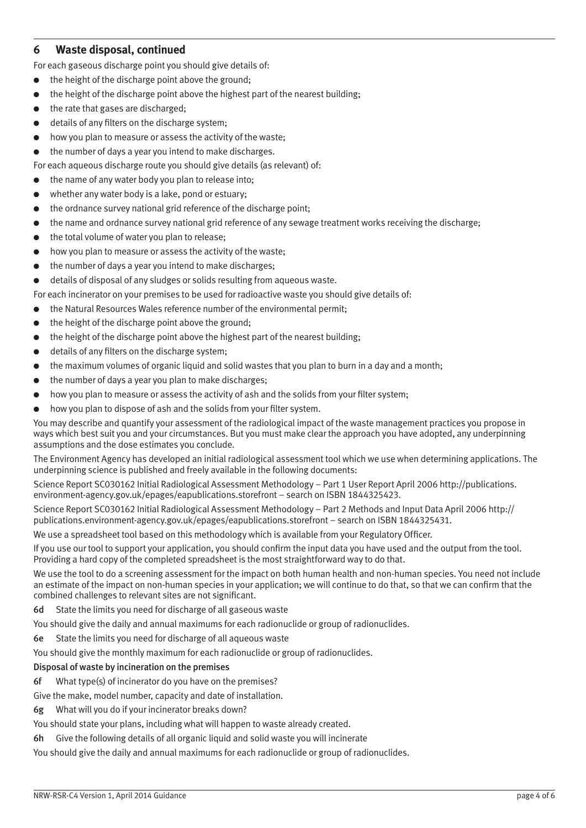## **6 Waste disposal, continued**

- For each gaseous discharge point you should give details of:
- the height of the discharge point above the ground;
- the height of the discharge point above the highest part of the nearest building;
- the rate that gases are discharged:
- details of any filters on the discharge system;
- how you plan to measure or assess the activity of the waste:

the number of days a year you intend to make discharges.

For each aqueous discharge route you should give details (as relevant) of:

- the name of any water body you plan to release into:
- $\bullet$  whether any water body is a lake, pond or estuary;
- the ordnance survey national grid reference of the discharge point;
- the name and ordnance survey national grid reference of any sewage treatment works receiving the discharge;
- the total volume of water you plan to release;
- how you plan to measure or assess the activity of the waste;
- the number of days a year you intend to make discharges;
- details of disposal of any sludges or solids resulting from aqueous waste.

For each incinerator on your premises to be used for radioactive waste you should give details of:

- the Natural Resources Wales reference number of the environmental permit;
- the height of the discharge point above the ground:
- the height of the discharge point above the highest part of the nearest building;
- details of any filters on the discharge system:
- the maximum volumes of organic liquid and solid wastes that you plan to burn in a day and a month;
- the number of days a year you plan to make discharges;
- how you plan to measure or assess the activity of ash and the solids from your filter system;
- how you plan to dispose of ash and the solids from your filter system.

You may describe and quantify your assessment of the radiological impact of the waste management practices you propose in ways which best suit you and your circumstances. But you must make clear the approach you have adopted, any underpinning assumptions and the dose estimates you conclude.

The Environment Agency has developed an initial radiological assessment tool which we use when determining applications. The underpinning science is published and freely available in the following documents:

Science Report SC030162 Initial Radiological Assessment Methodology – Part 1 User Report April 2006 http://publications. environment-agency.gov.uk/epages/eapublications.storefront – search on ISBN 1844325423.

Science Report SC030162 Initial Radiological Assessment Methodology – Part 2 Methods and Input Data April 2006 http:// publications.environment-agency.gov.uk/epages/eapublications.storefront – search on ISBN 1844325431.

We use a spreadsheet tool based on this methodology which is available from your Regulatory Officer.

If you use our tool to support your application, you should confirm the input data you have used and the output from the tool. Providing a hard copy of the completed spreadsheet is the most straightforward way to do that.

We use the tool to do a screening assessment for the impact on both human health and non-human species. You need not include an estimate of the impact on non-human species in your application; we will continue to do that, so that we can confirm that the combined challenges to relevant sites are not significant.

6d State the limits you need for discharge of all gaseous waste

You should give the daily and annual maximums for each radionuclide or group of radionuclides.

- 6e State the limits you need for discharge of all aqueous waste
- You should give the monthly maximum for each radionuclide or group of radionuclides.

#### Disposal of waste by incineration on the premises

6f What type(s) of incinerator do you have on the premises?

Give the make, model number, capacity and date of installation.

- 6g What will you do if your incinerator breaks down?
- You should state your plans, including what will happen to waste already created.

6h Give the following details of all organic liquid and solid waste you will incinerate

You should give the daily and annual maximums for each radionuclide or group of radionuclides.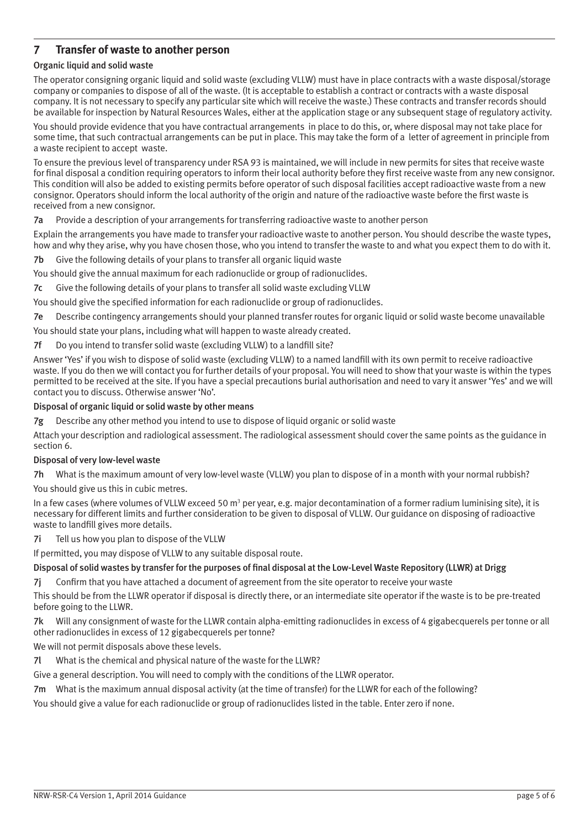## **7 Transfer of waste to another person**

#### Organic liquid and solid waste

The operator consigning organic liquid and solid waste (excluding VLLW) must have in place contracts with a waste disposal/storage company or companies to dispose of all of the waste. (It is acceptable to establish a contract or contracts with a waste disposal company. It is not necessary to specify any particular site which will receive the waste.) These contracts and transfer records should be available for inspection by Natural Resources Wales, either at the application stage or any subsequent stage of regulatory activity.

You should provide evidence that you have contractual arrangements in place to do this, or, where disposal may not take place for some time, that such contractual arrangements can be put in place. This may take the form of a letter of agreement in principle from a waste recipient to accept waste.

To ensure the previous level of transparency under RSA 93 is maintained, we will include in new permits for sites that receive waste for final disposal a condition requiring operators to inform their local authority before they first receive waste from any new consignor. This condition will also be added to existing permits before operator of such disposal facilities accept radioactive waste from a new consignor. Operators should inform the local authority of the origin and nature of the radioactive waste before the first waste is received from a new consignor.

7a Provide a description of your arrangements for transferring radioactive waste to another person

Explain the arrangements you have made to transfer your radioactive waste to another person. You should describe the waste types, how and why they arise, why you have chosen those, who you intend to transfer the waste to and what you expect them to do with it.

7b Give the following details of your plans to transfer all organic liquid waste

You should give the annual maximum for each radionuclide or group of radionuclides.

7c Give the following details of your plans to transfer all solid waste excluding VLLW

You should give the specified information for each radionuclide or group of radionuclides.

7e Describe contingency arrangements should your planned transfer routes for organic liquid or solid waste become unavailable

You should state your plans, including what will happen to waste already created.

7f Do you intend to transfer solid waste (excluding VLLW) to a landfill site?

Answer 'Yes' if you wish to dispose of solid waste (excluding VLLW) to a named landfill with its own permit to receive radioactive waste. If you do then we will contact you for further details of your proposal. You will need to show that your waste is within the types permitted to be received at the site. If you have a special precautions burial authorisation and need to vary it answer 'Yes' and we will contact you to discuss. Otherwise answer 'No'.

#### Disposal of organic liquid or solid waste by other means

7g Describe any other method you intend to use to dispose of liquid organic or solid waste

Attach your description and radiological assessment. The radiological assessment should cover the same points as the guidance in section 6.

#### Disposal of very low-level waste

7h What is the maximum amount of very low-level waste (VLLW) you plan to dispose of in a month with your normal rubbish? You should give us this in cubic metres.

In a few cases (where volumes of VLLW exceed 50 m<sup>3</sup> per year, e.g. major decontamination of a former radium luminising site), it is necessary for different limits and further consideration to be given to disposal of VLLW. Our guidance on disposing of radioactive waste to landfill gives more details.

7i Tell us how you plan to dispose of the VLLW

If permitted, you may dispose of VLLW to any suitable disposal route.

#### Disposal of solid wastes by transfer for the purposes of final disposal at the Low-Level Waste Repository (LLWR) at Drigg

7j Confirm that you have attached a document of agreement from the site operator to receive your waste

This should be from the LLWR operator if disposal is directly there, or an intermediate site operator if the waste is to be pre-treated before going to the LLWR.

7k Will any consignment of waste for the LLWR contain alpha-emitting radionuclides in excess of 4 gigabecquerels per tonne or all other radionuclides in excess of 12 gigabecquerels per tonne?

We will not permit disposals above these levels.

7l What is the chemical and physical nature of the waste for the LLWR?

Give a general description. You will need to comply with the conditions of the LLWR operator.

7m What is the maximum annual disposal activity (at the time of transfer) for the LLWR for each of the following?

You should give a value for each radionuclide or group of radionuclides listed in the table. Enter zero if none.